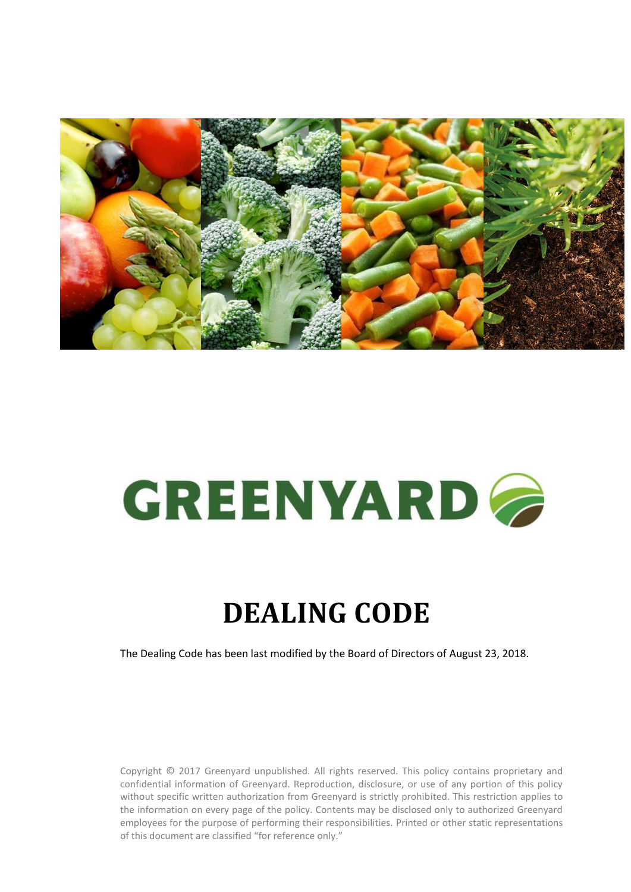

# GREENYARD

# **DEALING CODE**

The Dealing Code has been last modified by the Board of Directors of August 23, 2018.

Copyright © 2017 Greenyard unpublished. All rights reserved. This policy contains proprietary and confidential information of Greenyard. Reproduction, disclosure, or use of any portion of this policy without specific written authorization from Greenyard is strictly prohibited. This restriction applies to the information on every page of the policy. Contents may be disclosed only to authorized Greenyard employees for the purpose of performing their responsibilities. Printed or other static representations of this document are classified "for reference only."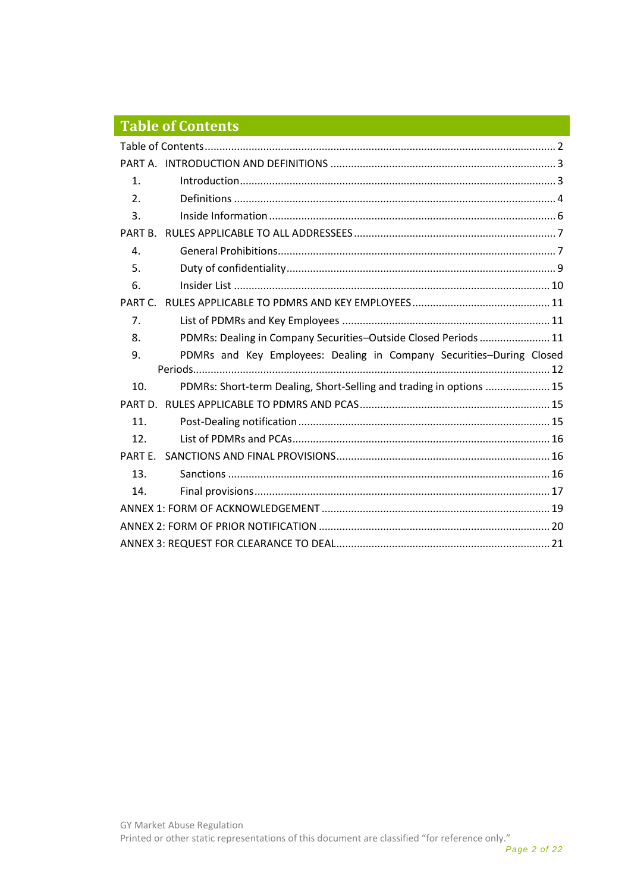# <span id="page-1-0"></span>**Table of Contents**

| $\mathbf{1}$ . |                                                                      |  |
|----------------|----------------------------------------------------------------------|--|
| 2.             |                                                                      |  |
| 3.             |                                                                      |  |
| PART B.        |                                                                      |  |
| 4.             |                                                                      |  |
| 5.             |                                                                      |  |
| 6.             |                                                                      |  |
| PART C         |                                                                      |  |
| 7.             |                                                                      |  |
| 8.             | PDMRs: Dealing in Company Securities-Outside Closed Periods  11      |  |
|                |                                                                      |  |
| 9.             | PDMRs and Key Employees: Dealing in Company Securities-During Closed |  |
|                |                                                                      |  |
| 10.            | PDMRs: Short-term Dealing, Short-Selling and trading in options  15  |  |
| PART D.        |                                                                      |  |
| 11.            |                                                                      |  |
| 12.            |                                                                      |  |
| PART F.        |                                                                      |  |
| 13.            |                                                                      |  |
| 14.            |                                                                      |  |
|                |                                                                      |  |
|                |                                                                      |  |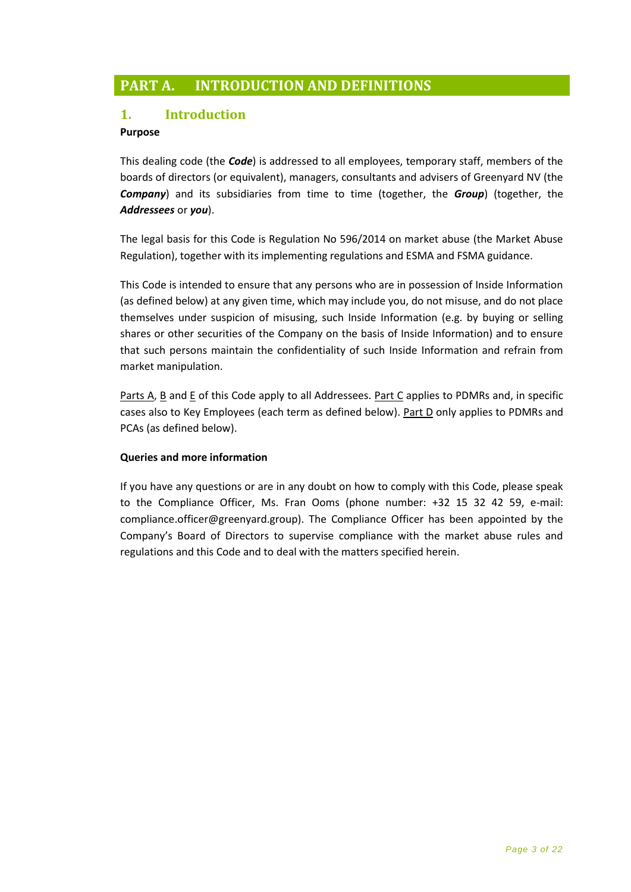# <span id="page-2-0"></span>**PART A. INTRODUCTION AND DEFINITIONS**

# <span id="page-2-1"></span>**1. Introduction**

#### **Purpose**

This dealing code (the *Code*) is addressed to all employees, temporary staff, members of the boards of directors (or equivalent), managers, consultants and advisers of Greenyard NV (the *Company*) and its subsidiaries from time to time (together, the *Group*) (together, the *Addressees* or *you*).

The legal basis for this Code is Regulation No 596/2014 on market abuse (the Market Abuse Regulation), together with its implementing regulations and ESMA and FSMA guidance.

This Code is intended to ensure that any persons who are in possession of Inside Information (as defined below) at any given time, which may include you, do not misuse, and do not place themselves under suspicion of misusing, such Inside Information (e.g. by buying or selling shares or other securities of the Company on the basis of Inside Information) and to ensure that such persons maintain the confidentiality of such Inside Information and refrain from market manipulation.

Parts A, B and E of this Code apply to all Addressees. Part C applies to PDMRs and, in specific cases also to Key Employees (each term as defined below). Part D only applies to PDMRs and PCAs (as defined below).

#### **Queries and more information**

If you have any questions or are in any doubt on how to comply with this Code, please speak to the Compliance Officer, Ms. Fran Ooms (phone number: +32 15 32 42 59, e-mail: compliance.officer@greenyard.group). The Compliance Officer has been appointed by the Company's Board of Directors to supervise compliance with the market abuse rules and regulations and this Code and to deal with the matters specified herein.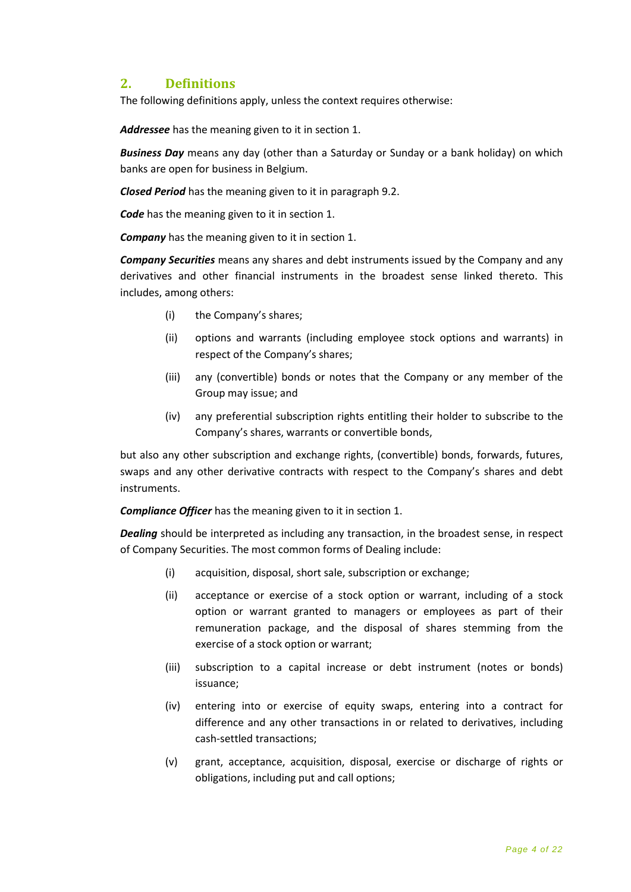# <span id="page-3-0"></span>**2. Definitions**

The following definitions apply, unless the context requires otherwise:

*Addressee* has the meaning given to it in section 1.

*Business Day* means any day (other than a Saturday or Sunday or a bank holiday) on which banks are open for business in Belgium.

*Closed Period* has the meaning given to it in paragraph 9.2.

*Code* has the meaning given to it in section 1.

*Company* has the meaning given to it in section 1.

*Company Securities* means any shares and debt instruments issued by the Company and any derivatives and other financial instruments in the broadest sense linked thereto. This includes, among others:

- (i) the Company's shares;
- (ii) options and warrants (including employee stock options and warrants) in respect of the Company's shares;
- (iii) any (convertible) bonds or notes that the Company or any member of the Group may issue; and
- (iv) any preferential subscription rights entitling their holder to subscribe to the Company's shares, warrants or convertible bonds,

but also any other subscription and exchange rights, (convertible) bonds, forwards, futures, swaps and any other derivative contracts with respect to the Company's shares and debt instruments.

*Compliance Officer* has the meaning given to it in section 1.

*Dealing* should be interpreted as including any transaction, in the broadest sense, in respect of Company Securities. The most common forms of Dealing include:

- (i) acquisition, disposal, short sale, subscription or exchange;
- (ii) acceptance or exercise of a stock option or warrant, including of a stock option or warrant granted to managers or employees as part of their remuneration package, and the disposal of shares stemming from the exercise of a stock option or warrant;
- (iii) subscription to a capital increase or debt instrument (notes or bonds) issuance;
- (iv) entering into or exercise of equity swaps, entering into a contract for difference and any other transactions in or related to derivatives, including cash-settled transactions;
- (v) grant, acceptance, acquisition, disposal, exercise or discharge of rights or obligations, including put and call options;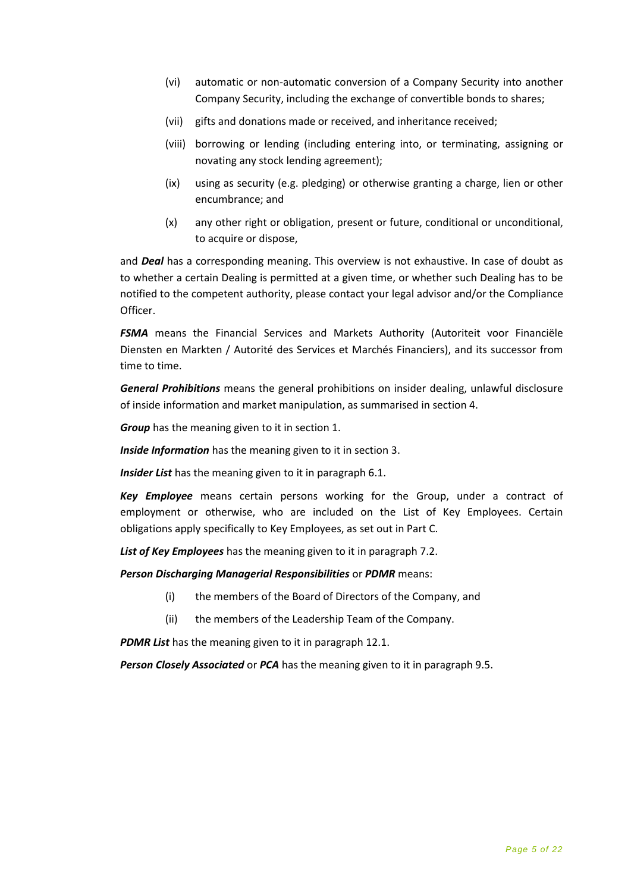- (vi) automatic or non-automatic conversion of a Company Security into another Company Security, including the exchange of convertible bonds to shares;
- (vii) gifts and donations made or received, and inheritance received;
- (viii) borrowing or lending (including entering into, or terminating, assigning or novating any stock lending agreement);
- (ix) using as security (e.g. pledging) or otherwise granting a charge, lien or other encumbrance; and
- (x) any other right or obligation, present or future, conditional or unconditional, to acquire or dispose,

and *Deal* has a corresponding meaning. This overview is not exhaustive. In case of doubt as to whether a certain Dealing is permitted at a given time, or whether such Dealing has to be notified to the competent authority, please contact your legal advisor and/or the Compliance Officer.

*FSMA* means the Financial Services and Markets Authority (Autoriteit voor Financiële Diensten en Markten / Autorité des Services et Marchés Financiers), and its successor from time to time.

*General Prohibitions* means the general prohibitions on insider dealing, unlawful disclosure of inside information and market manipulation, as summarised in section 4.

*Group* has the meaning given to it in section 1.

*Inside Information* has the meaning given to it in section 3.

*Insider List* has the meaning given to it in paragraph 6.1.

*Key Employee* means certain persons working for the Group, under a contract of employment or otherwise, who are included on the List of Key Employees. Certain obligations apply specifically to Key Employees, as set out in Part C.

*List of Key Employees* has the meaning given to it in paragraph 7.2.

*Person Discharging Managerial Responsibilities* or *PDMR* means:

- (i) the members of the Board of Directors of the Company, and
- (ii) the members of the Leadership Team of the Company.

*PDMR List* has the meaning given to it in paragraph 12.1.

*Person Closely Associated* or *PCA* has the meaning given to it in paragraph 9.5.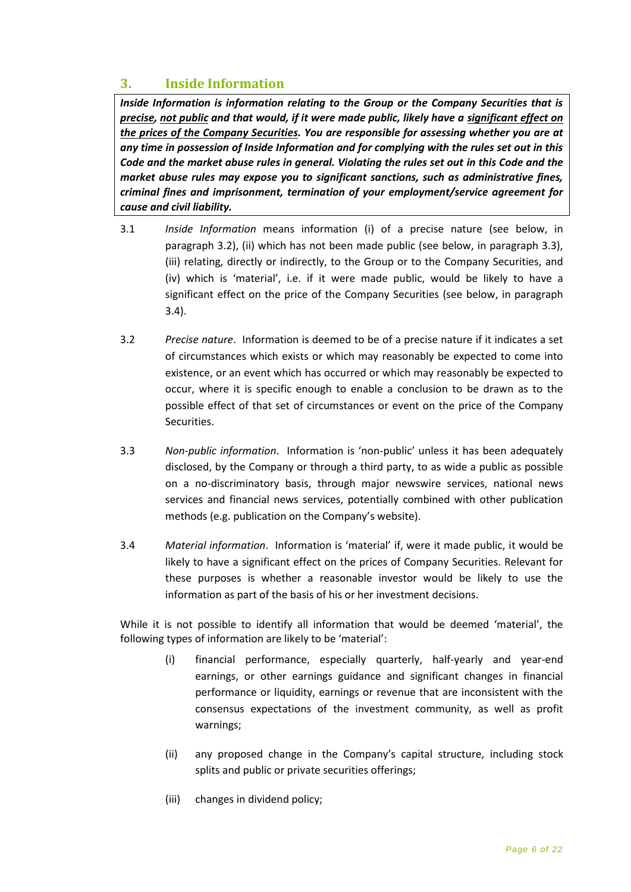# <span id="page-5-0"></span>**3. Inside Information**

*Inside Information is information relating to the Group or the Company Securities that is precise, not public and that would, if it were made public, likely have a significant effect on the prices of the Company Securities. You are responsible for assessing whether you are at any time in possession of Inside Information and for complying with the rules set out in this Code and the market abuse rules in general. Violating the rules set out in this Code and the market abuse rules may expose you to significant sanctions, such as administrative fines, criminal fines and imprisonment, termination of your employment/service agreement for cause and civil liability.* 

- 3.1 *Inside Information* means information (i) of a precise nature (see below, in paragraph 3.2), (ii) which has not been made public (see below, in paragraph 3.3), (iii) relating, directly or indirectly, to the Group or to the Company Securities, and (iv) which is 'material', i.e. if it were made public, would be likely to have a significant effect on the price of the Company Securities (see below, in paragraph 3.4).
- 3.2 *Precise nature*. Information is deemed to be of a precise nature if it indicates a set of circumstances which exists or which may reasonably be expected to come into existence, or an event which has occurred or which may reasonably be expected to occur, where it is specific enough to enable a conclusion to be drawn as to the possible effect of that set of circumstances or event on the price of the Company Securities.
- 3.3 *Non-public information*. Information is 'non-public' unless it has been adequately disclosed, by the Company or through a third party, to as wide a public as possible on a no-discriminatory basis, through major newswire services, national news services and financial news services, potentially combined with other publication methods (e.g. publication on the Company's website).
- 3.4 *Material information*. Information is 'material' if, were it made public, it would be likely to have a significant effect on the prices of Company Securities. Relevant for these purposes is whether a reasonable investor would be likely to use the information as part of the basis of his or her investment decisions.

While it is not possible to identify all information that would be deemed 'material', the following types of information are likely to be 'material':

- (i) financial performance, especially quarterly, half-yearly and year-end earnings, or other earnings guidance and significant changes in financial performance or liquidity, earnings or revenue that are inconsistent with the consensus expectations of the investment community, as well as profit warnings;
- (ii) any proposed change in the Company's capital structure, including stock splits and public or private securities offerings;
- (iii) changes in dividend policy;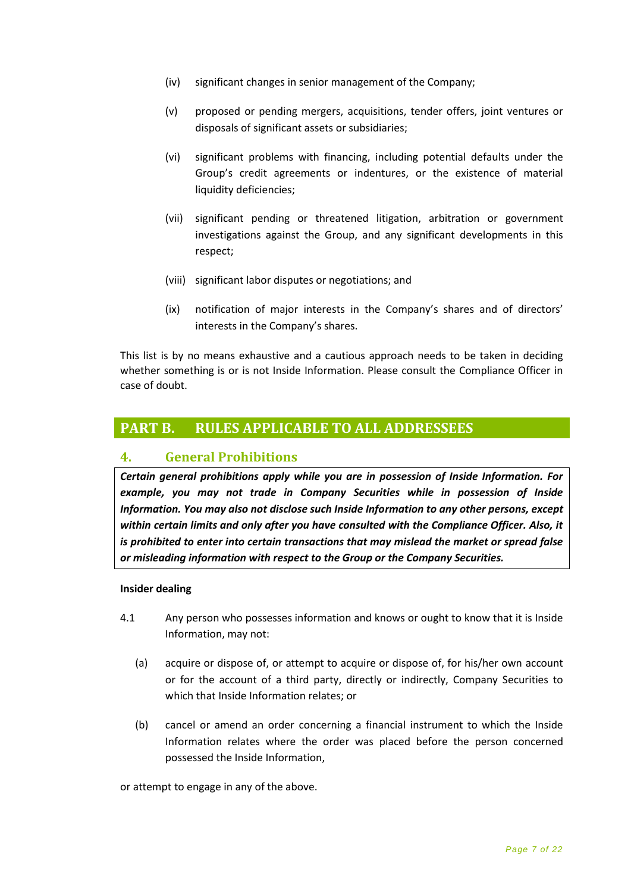- (iv) significant changes in senior management of the Company;
- (v) proposed or pending mergers, acquisitions, tender offers, joint ventures or disposals of significant assets or subsidiaries;
- (vi) significant problems with financing, including potential defaults under the Group's credit agreements or indentures, or the existence of material liquidity deficiencies;
- (vii) significant pending or threatened litigation, arbitration or government investigations against the Group, and any significant developments in this respect;
- (viii) significant labor disputes or negotiations; and
- (ix) notification of major interests in the Company's shares and of directors' interests in the Company's shares.

This list is by no means exhaustive and a cautious approach needs to be taken in deciding whether something is or is not Inside Information. Please consult the Compliance Officer in case of doubt.

# <span id="page-6-0"></span>**PART B. RULES APPLICABLE TO ALL ADDRESSEES**

#### <span id="page-6-1"></span>**4. General Prohibitions**

*Certain general prohibitions apply while you are in possession of Inside Information. For example, you may not trade in Company Securities while in possession of Inside Information. You may also not disclose such Inside Information to any other persons, except within certain limits and only after you have consulted with the Compliance Officer. Also, it is prohibited to enter into certain transactions that may mislead the market or spread false or misleading information with respect to the Group or the Company Securities.*

#### **Insider dealing**

- 4.1 Any person who possesses information and knows or ought to know that it is Inside Information, may not:
	- (a) acquire or dispose of, or attempt to acquire or dispose of, for his/her own account or for the account of a third party, directly or indirectly, Company Securities to which that Inside Information relates; or
	- (b) cancel or amend an order concerning a financial instrument to which the Inside Information relates where the order was placed before the person concerned possessed the Inside Information,

or attempt to engage in any of the above.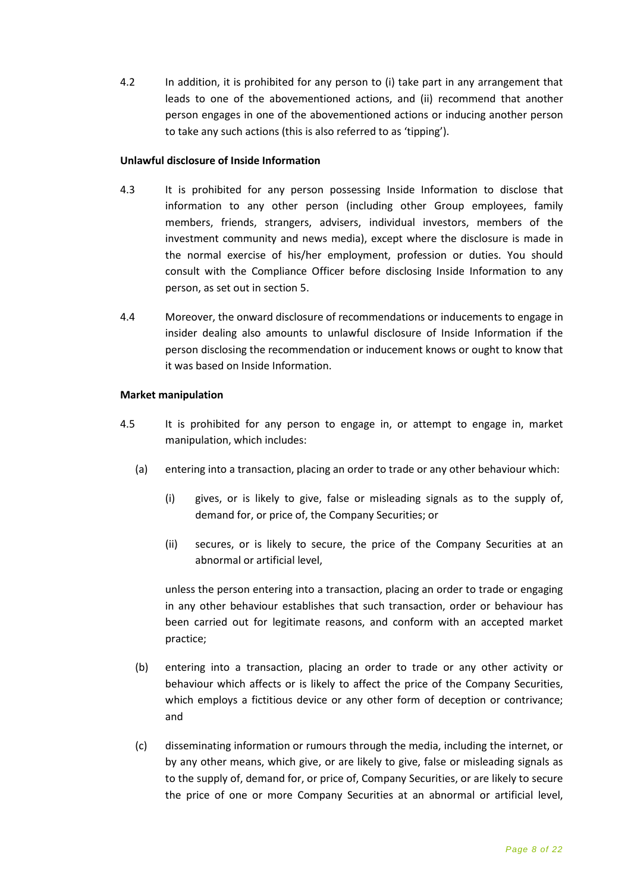4.2 In addition, it is prohibited for any person to (i) take part in any arrangement that leads to one of the abovementioned actions, and (ii) recommend that another person engages in one of the abovementioned actions or inducing another person to take any such actions (this is also referred to as 'tipping').

#### **Unlawful disclosure of Inside Information**

- 4.3 It is prohibited for any person possessing Inside Information to disclose that information to any other person (including other Group employees, family members, friends, strangers, advisers, individual investors, members of the investment community and news media), except where the disclosure is made in the normal exercise of his/her employment, profession or duties. You should consult with the Compliance Officer before disclosing Inside Information to any person, as set out in section 5.
- 4.4 Moreover, the onward disclosure of recommendations or inducements to engage in insider dealing also amounts to unlawful disclosure of Inside Information if the person disclosing the recommendation or inducement knows or ought to know that it was based on Inside Information.

#### **Market manipulation**

- 4.5 It is prohibited for any person to engage in, or attempt to engage in, market manipulation, which includes:
	- (a) entering into a transaction, placing an order to trade or any other behaviour which:
		- (i) gives, or is likely to give, false or misleading signals as to the supply of, demand for, or price of, the Company Securities; or
		- (ii) secures, or is likely to secure, the price of the Company Securities at an abnormal or artificial level,

unless the person entering into a transaction, placing an order to trade or engaging in any other behaviour establishes that such transaction, order or behaviour has been carried out for legitimate reasons, and conform with an accepted market practice;

- (b) entering into a transaction, placing an order to trade or any other activity or behaviour which affects or is likely to affect the price of the Company Securities, which employs a fictitious device or any other form of deception or contrivance; and
- (c) disseminating information or rumours through the media, including the internet, or by any other means, which give, or are likely to give, false or misleading signals as to the supply of, demand for, or price of, Company Securities, or are likely to secure the price of one or more Company Securities at an abnormal or artificial level,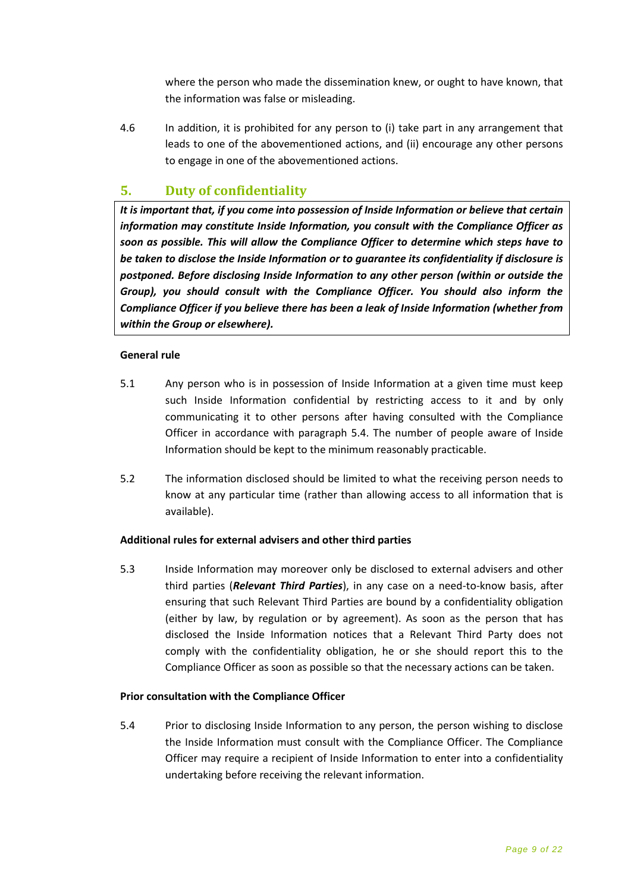where the person who made the dissemination knew, or ought to have known, that the information was false or misleading.

4.6 In addition, it is prohibited for any person to (i) take part in any arrangement that leads to one of the abovementioned actions, and (ii) encourage any other persons to engage in one of the abovementioned actions.

# <span id="page-8-0"></span>**5. Duty of confidentiality**

*It is important that, if you come into possession of Inside Information or believe that certain information may constitute Inside Information, you consult with the Compliance Officer as soon as possible. This will allow the Compliance Officer to determine which steps have to be taken to disclose the Inside Information or to guarantee its confidentiality if disclosure is postponed. Before disclosing Inside Information to any other person (within or outside the Group), you should consult with the Compliance Officer. You should also inform the Compliance Officer if you believe there has been a leak of Inside Information (whether from within the Group or elsewhere).*

#### **General rule**

- 5.1 Any person who is in possession of Inside Information at a given time must keep such Inside Information confidential by restricting access to it and by only communicating it to other persons after having consulted with the Compliance Officer in accordance with paragraph 5.4. The number of people aware of Inside Information should be kept to the minimum reasonably practicable.
- 5.2 The information disclosed should be limited to what the receiving person needs to know at any particular time (rather than allowing access to all information that is available).

#### **Additional rules for external advisers and other third parties**

5.3 Inside Information may moreover only be disclosed to external advisers and other third parties (*Relevant Third Parties*), in any case on a need-to-know basis, after ensuring that such Relevant Third Parties are bound by a confidentiality obligation (either by law, by regulation or by agreement). As soon as the person that has disclosed the Inside Information notices that a Relevant Third Party does not comply with the confidentiality obligation, he or she should report this to the Compliance Officer as soon as possible so that the necessary actions can be taken.

#### **Prior consultation with the Compliance Officer**

5.4 Prior to disclosing Inside Information to any person, the person wishing to disclose the Inside Information must consult with the Compliance Officer. The Compliance Officer may require a recipient of Inside Information to enter into a confidentiality undertaking before receiving the relevant information.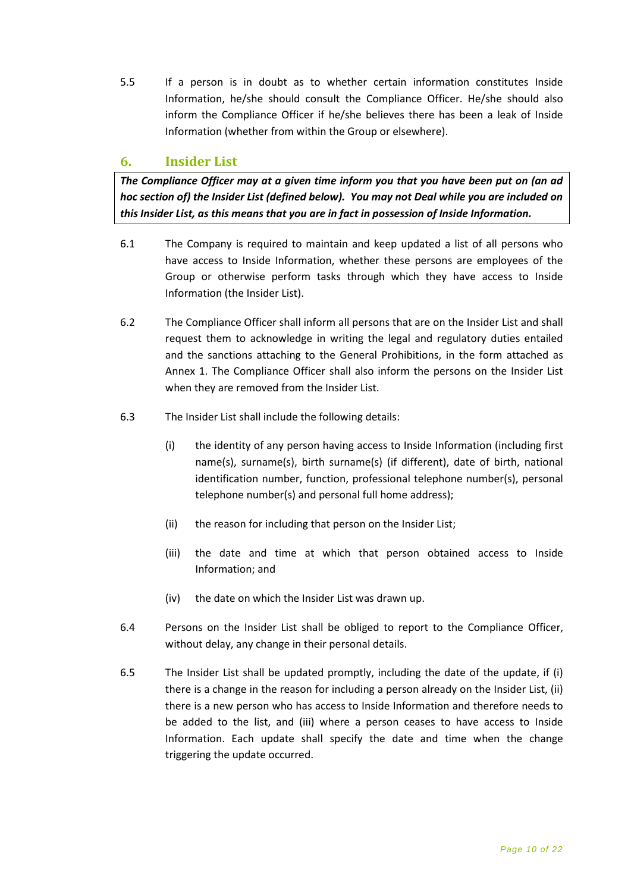5.5 If a person is in doubt as to whether certain information constitutes Inside Information, he/she should consult the Compliance Officer. He/she should also inform the Compliance Officer if he/she believes there has been a leak of Inside Information (whether from within the Group or elsewhere).

# <span id="page-9-0"></span>**6. Insider List**

*The Compliance Officer may at a given time inform you that you have been put on (an ad hoc section of) the Insider List (defined below). You may not Deal while you are included on this Insider List, as this means that you are in fact in possession of Inside Information.* 

- 6.1 The Company is required to maintain and keep updated a list of all persons who have access to Inside Information, whether these persons are employees of the Group or otherwise perform tasks through which they have access to Inside Information (the Insider List).
- 6.2 The Compliance Officer shall inform all persons that are on the Insider List and shall request them to acknowledge in writing the legal and regulatory duties entailed and the sanctions attaching to the General Prohibitions, in the form attached as Annex 1. The Compliance Officer shall also inform the persons on the Insider List when they are removed from the Insider List.
- 6.3 The Insider List shall include the following details:
	- (i) the identity of any person having access to Inside Information (including first name(s), surname(s), birth surname(s) (if different), date of birth, national identification number, function, professional telephone number(s), personal telephone number(s) and personal full home address);
	- (ii) the reason for including that person on the Insider List;
	- (iii) the date and time at which that person obtained access to Inside Information; and
	- (iv) the date on which the Insider List was drawn up.
- 6.4 Persons on the Insider List shall be obliged to report to the Compliance Officer, without delay, any change in their personal details.
- 6.5 The Insider List shall be updated promptly, including the date of the update, if (i) there is a change in the reason for including a person already on the Insider List, (ii) there is a new person who has access to Inside Information and therefore needs to be added to the list, and (iii) where a person ceases to have access to Inside Information. Each update shall specify the date and time when the change triggering the update occurred.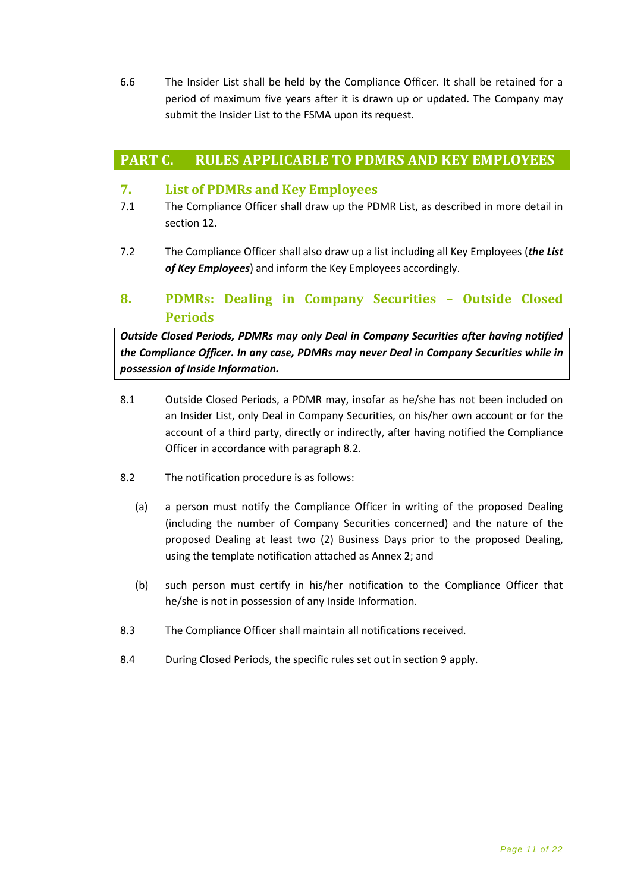6.6 The Insider List shall be held by the Compliance Officer. It shall be retained for a period of maximum five years after it is drawn up or updated. The Company may submit the Insider List to the FSMA upon its request.

# <span id="page-10-0"></span>**PART C. RULES APPLICABLE TO PDMRS AND KEY EMPLOYEES**

### <span id="page-10-1"></span>**7. List of PDMRs and Key Employees**

- 7.1 The Compliance Officer shall draw up the PDMR List, as described in more detail in section 12.
- 7.2 The Compliance Officer shall also draw up a list including all Key Employees (*the List of Key Employees*) and inform the Key Employees accordingly.

# <span id="page-10-2"></span>**8. PDMRs: Dealing in Company Securities – Outside Closed Periods**

*Outside Closed Periods, PDMRs may only Deal in Company Securities after having notified the Compliance Officer. In any case, PDMRs may never Deal in Company Securities while in possession of Inside Information.*

- 8.1 Outside Closed Periods, a PDMR may, insofar as he/she has not been included on an Insider List, only Deal in Company Securities, on his/her own account or for the account of a third party, directly or indirectly, after having notified the Compliance Officer in accordance with paragraph 8.2.
- 8.2 The notification procedure is as follows:
	- (a) a person must notify the Compliance Officer in writing of the proposed Dealing (including the number of Company Securities concerned) and the nature of the proposed Dealing at least two (2) Business Days prior to the proposed Dealing, using the template notification attached as Annex 2; and
	- (b) such person must certify in his/her notification to the Compliance Officer that he/she is not in possession of any Inside Information.
- 8.3 The Compliance Officer shall maintain all notifications received.
- 8.4 During Closed Periods, the specific rules set out in section 9 apply.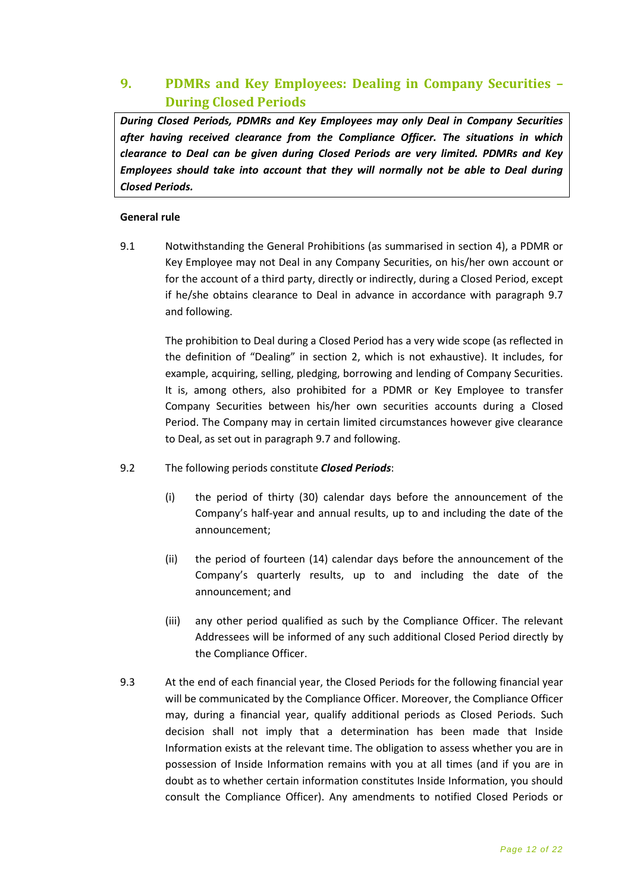# <span id="page-11-0"></span>**9. PDMRs and Key Employees: Dealing in Company Securities – During Closed Periods**

*During Closed Periods, PDMRs and Key Employees may only Deal in Company Securities after having received clearance from the Compliance Officer. The situations in which clearance to Deal can be given during Closed Periods are very limited. PDMRs and Key Employees should take into account that they will normally not be able to Deal during Closed Periods.* 

#### **General rule**

9.1 Notwithstanding the General Prohibitions (as summarised in section 4), a PDMR or Key Employee may not Deal in any Company Securities, on his/her own account or for the account of a third party, directly or indirectly, during a Closed Period, except if he/she obtains clearance to Deal in advance in accordance with paragraph 9.7 and following.

The prohibition to Deal during a Closed Period has a very wide scope (as reflected in the definition of "Dealing" in section 2, which is not exhaustive). It includes, for example, acquiring, selling, pledging, borrowing and lending of Company Securities. It is, among others, also prohibited for a PDMR or Key Employee to transfer Company Securities between his/her own securities accounts during a Closed Period. The Company may in certain limited circumstances however give clearance to Deal, as set out in paragraph 9.7 and following.

- 9.2 The following periods constitute *Closed Periods*:
	- (i) the period of thirty (30) calendar days before the announcement of the Company's half-year and annual results, up to and including the date of the announcement;
	- (ii) the period of fourteen (14) calendar days before the announcement of the Company's quarterly results, up to and including the date of the announcement; and
	- (iii) any other period qualified as such by the Compliance Officer. The relevant Addressees will be informed of any such additional Closed Period directly by the Compliance Officer.
- 9.3 At the end of each financial year, the Closed Periods for the following financial year will be communicated by the Compliance Officer. Moreover, the Compliance Officer may, during a financial year, qualify additional periods as Closed Periods. Such decision shall not imply that a determination has been made that Inside Information exists at the relevant time. The obligation to assess whether you are in possession of Inside Information remains with you at all times (and if you are in doubt as to whether certain information constitutes Inside Information, you should consult the Compliance Officer). Any amendments to notified Closed Periods or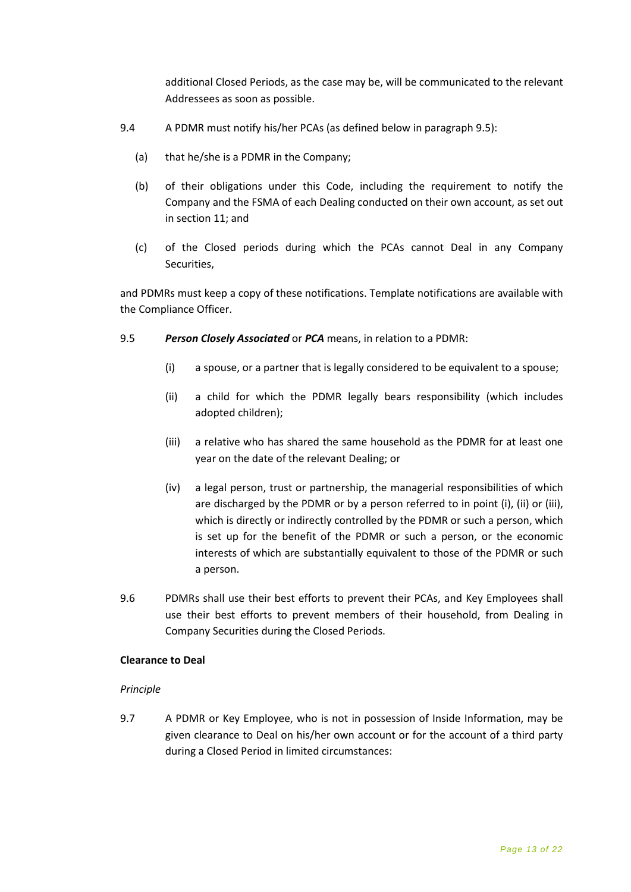additional Closed Periods, as the case may be, will be communicated to the relevant Addressees as soon as possible.

- 9.4 A PDMR must notify his/her PCAs (as defined below in paragraph 9.5):
	- (a) that he/she is a PDMR in the Company;
	- (b) of their obligations under this Code, including the requirement to notify the Company and the FSMA of each Dealing conducted on their own account, as set out in section 11; and
	- (c) of the Closed periods during which the PCAs cannot Deal in any Company Securities,

and PDMRs must keep a copy of these notifications. Template notifications are available with the Compliance Officer.

#### 9.5 *Person Closely Associated* or *PCA* means, in relation to a PDMR:

- (i) a spouse, or a partner that is legally considered to be equivalent to a spouse;
- (ii) a child for which the PDMR legally bears responsibility (which includes adopted children);
- (iii) a relative who has shared the same household as the PDMR for at least one year on the date of the relevant Dealing; or
- (iv) a legal person, trust or partnership, the managerial responsibilities of which are discharged by the PDMR or by a person referred to in point (i), (ii) or (iii), which is directly or indirectly controlled by the PDMR or such a person, which is set up for the benefit of the PDMR or such a person, or the economic interests of which are substantially equivalent to those of the PDMR or such a person.
- 9.6 PDMRs shall use their best efforts to prevent their PCAs, and Key Employees shall use their best efforts to prevent members of their household, from Dealing in Company Securities during the Closed Periods.

#### **Clearance to Deal**

#### *Principle*

9.7 A PDMR or Key Employee, who is not in possession of Inside Information, may be given clearance to Deal on his/her own account or for the account of a third party during a Closed Period in limited circumstances: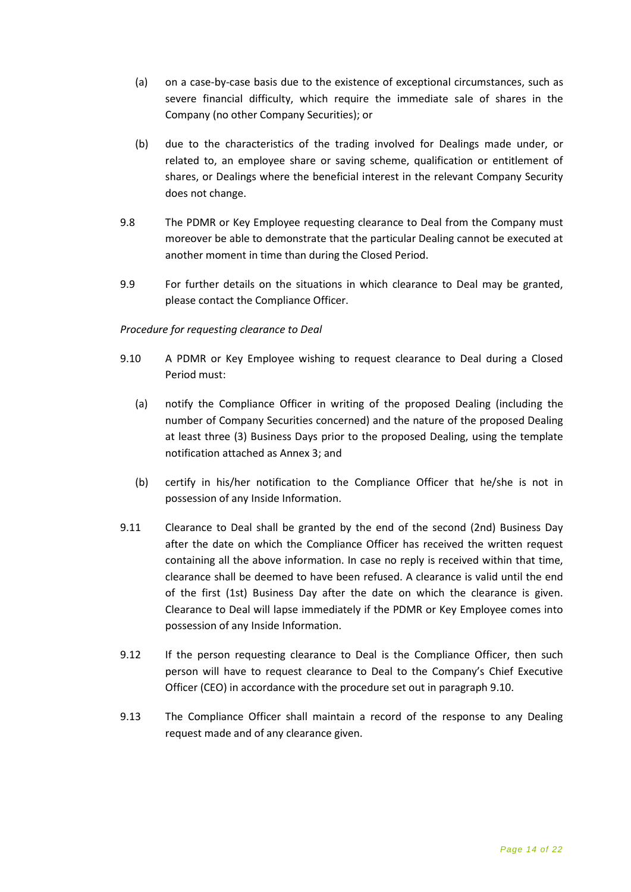- (a) on a case-by-case basis due to the existence of exceptional circumstances, such as severe financial difficulty, which require the immediate sale of shares in the Company (no other Company Securities); or
- (b) due to the characteristics of the trading involved for Dealings made under, or related to, an employee share or saving scheme, qualification or entitlement of shares, or Dealings where the beneficial interest in the relevant Company Security does not change.
- 9.8 The PDMR or Key Employee requesting clearance to Deal from the Company must moreover be able to demonstrate that the particular Dealing cannot be executed at another moment in time than during the Closed Period.
- 9.9 For further details on the situations in which clearance to Deal may be granted, please contact the Compliance Officer.

#### *Procedure for requesting clearance to Deal*

- 9.10 A PDMR or Key Employee wishing to request clearance to Deal during a Closed Period must:
	- (a) notify the Compliance Officer in writing of the proposed Dealing (including the number of Company Securities concerned) and the nature of the proposed Dealing at least three (3) Business Days prior to the proposed Dealing, using the template notification attached as Annex 3; and
	- (b) certify in his/her notification to the Compliance Officer that he/she is not in possession of any Inside Information.
- 9.11 Clearance to Deal shall be granted by the end of the second (2nd) Business Day after the date on which the Compliance Officer has received the written request containing all the above information. In case no reply is received within that time, clearance shall be deemed to have been refused. A clearance is valid until the end of the first (1st) Business Day after the date on which the clearance is given. Clearance to Deal will lapse immediately if the PDMR or Key Employee comes into possession of any Inside Information.
- 9.12 If the person requesting clearance to Deal is the Compliance Officer, then such person will have to request clearance to Deal to the Company's Chief Executive Officer (CEO) in accordance with the procedure set out in paragraph 9.10.
- 9.13 The Compliance Officer shall maintain a record of the response to any Dealing request made and of any clearance given.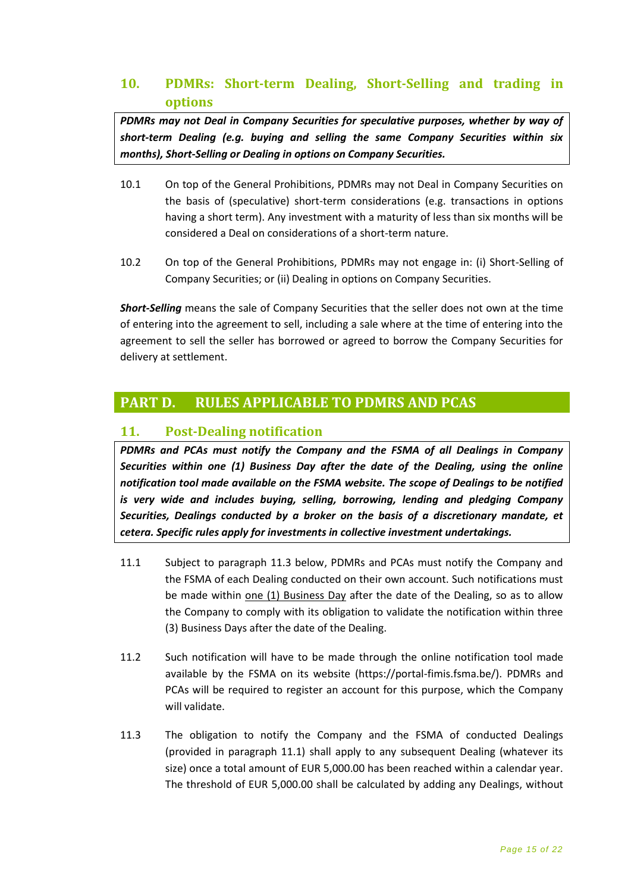# <span id="page-14-0"></span>**10. PDMRs: Short-term Dealing, Short-Selling and trading in options**

*PDMRs may not Deal in Company Securities for speculative purposes, whether by way of short-term Dealing (e.g. buying and selling the same Company Securities within six months), Short-Selling or Dealing in options on Company Securities.* 

- 10.1 On top of the General Prohibitions, PDMRs may not Deal in Company Securities on the basis of (speculative) short-term considerations (e.g. transactions in options having a short term). Any investment with a maturity of less than six months will be considered a Deal on considerations of a short-term nature.
- 10.2 On top of the General Prohibitions, PDMRs may not engage in: (i) Short-Selling of Company Securities; or (ii) Dealing in options on Company Securities.

*Short-Selling* means the sale of Company Securities that the seller does not own at the time of entering into the agreement to sell, including a sale where at the time of entering into the agreement to sell the seller has borrowed or agreed to borrow the Company Securities for delivery at settlement.

# <span id="page-14-1"></span>**PART D. RULES APPLICABLE TO PDMRS AND PCAS**

# <span id="page-14-2"></span>**11. Post-Dealing notification**

*PDMRs and PCAs must notify the Company and the FSMA of all Dealings in Company Securities within one (1) Business Day after the date of the Dealing, using the online notification tool made available on the FSMA website. The scope of Dealings to be notified is very wide and includes buying, selling, borrowing, lending and pledging Company Securities, Dealings conducted by a broker on the basis of a discretionary mandate, et cetera. Specific rules apply for investments in collective investment undertakings.*

- 11.1 Subject to paragraph 11.3 below, PDMRs and PCAs must notify the Company and the FSMA of each Dealing conducted on their own account. Such notifications must be made within one (1) Business Day after the date of the Dealing, so as to allow the Company to comply with its obligation to validate the notification within three (3) Business Days after the date of the Dealing.
- 11.2 Such notification will have to be made through the online notification tool made available by the FSMA on its website (https://portal-fimis.fsma.be/). PDMRs and PCAs will be required to register an account for this purpose, which the Company will validate.
- 11.3 The obligation to notify the Company and the FSMA of conducted Dealings (provided in paragraph 11.1) shall apply to any subsequent Dealing (whatever its size) once a total amount of EUR 5,000.00 has been reached within a calendar year. The threshold of EUR 5,000.00 shall be calculated by adding any Dealings, without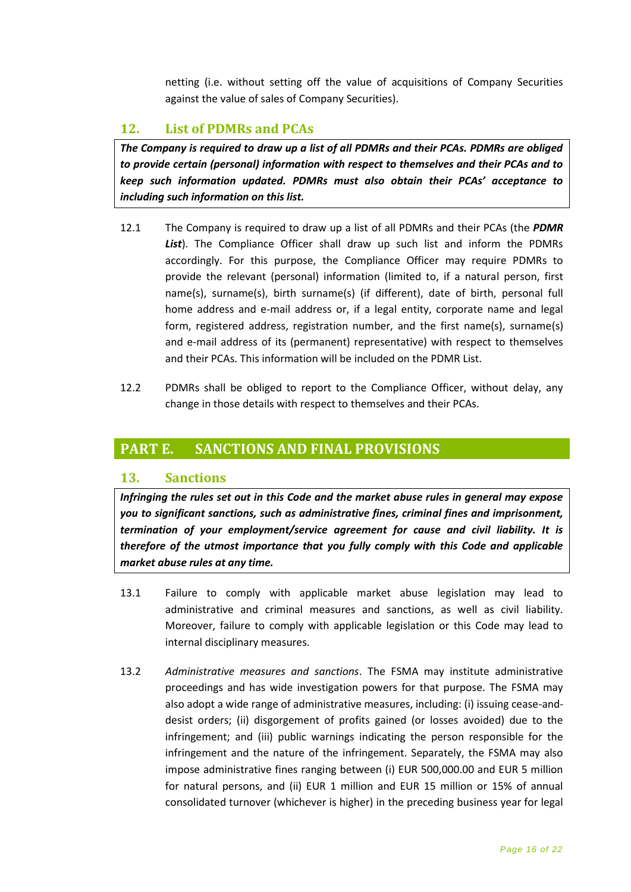netting (i.e. without setting off the value of acquisitions of Company Securities against the value of sales of Company Securities).

# <span id="page-15-0"></span>**12. List of PDMRs and PCAs**

*The Company is required to draw up a list of all PDMRs and their PCAs. PDMRs are obliged to provide certain (personal) information with respect to themselves and their PCAs and to keep such information updated. PDMRs must also obtain their PCAs' acceptance to including such information on this list.* 

- 12.1 The Company is required to draw up a list of all PDMRs and their PCAs (the *PDMR List*). The Compliance Officer shall draw up such list and inform the PDMRs accordingly. For this purpose, the Compliance Officer may require PDMRs to provide the relevant (personal) information (limited to, if a natural person, first name(s), surname(s), birth surname(s) (if different), date of birth, personal full home address and e-mail address or, if a legal entity, corporate name and legal form, registered address, registration number, and the first name(s), surname(s) and e-mail address of its (permanent) representative) with respect to themselves and their PCAs. This information will be included on the PDMR List.
- 12.2 PDMRs shall be obliged to report to the Compliance Officer, without delay, any change in those details with respect to themselves and their PCAs.

# <span id="page-15-1"></span>**PART E. SANCTIONS AND FINAL PROVISIONS**

#### <span id="page-15-2"></span>**13. Sanctions**

*Infringing the rules set out in this Code and the market abuse rules in general may expose you to significant sanctions, such as administrative fines, criminal fines and imprisonment, termination of your employment/service agreement for cause and civil liability. It is therefore of the utmost importance that you fully comply with this Code and applicable market abuse rules at any time.*

- 13.1 Failure to comply with applicable market abuse legislation may lead to administrative and criminal measures and sanctions, as well as civil liability. Moreover, failure to comply with applicable legislation or this Code may lead to internal disciplinary measures.
- 13.2 *Administrative measures and sanctions*. The FSMA may institute administrative proceedings and has wide investigation powers for that purpose. The FSMA may also adopt a wide range of administrative measures, including: (i) issuing cease-anddesist orders; (ii) disgorgement of profits gained (or losses avoided) due to the infringement; and (iii) public warnings indicating the person responsible for the infringement and the nature of the infringement. Separately, the FSMA may also impose administrative fines ranging between (i) EUR 500,000.00 and EUR 5 million for natural persons, and (ii) EUR 1 million and EUR 15 million or 15% of annual consolidated turnover (whichever is higher) in the preceding business year for legal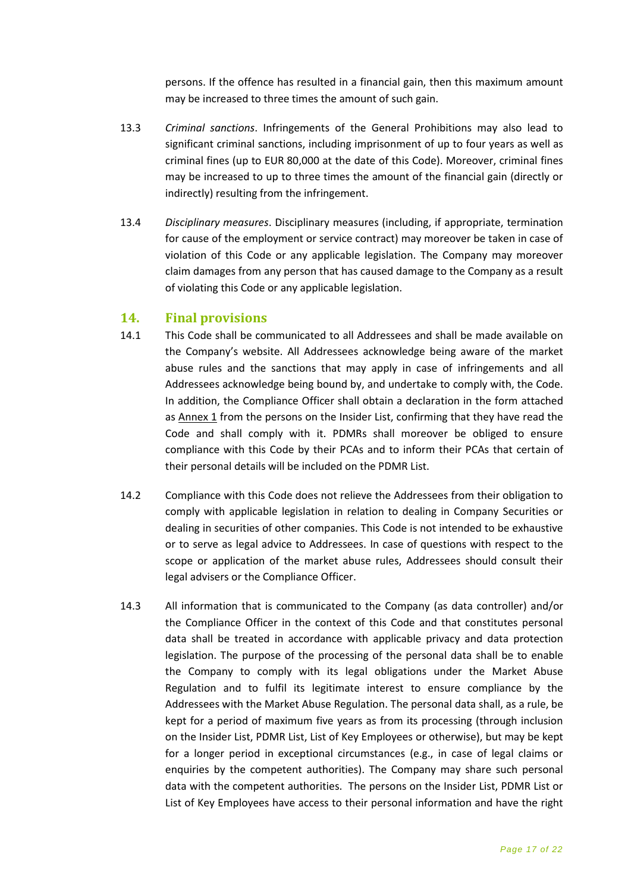persons. If the offence has resulted in a financial gain, then this maximum amount may be increased to three times the amount of such gain.

- 13.3 *Criminal sanctions*. Infringements of the General Prohibitions may also lead to significant criminal sanctions, including imprisonment of up to four years as well as criminal fines (up to EUR 80,000 at the date of this Code). Moreover, criminal fines may be increased to up to three times the amount of the financial gain (directly or indirectly) resulting from the infringement.
- 13.4 *Disciplinary measures*. Disciplinary measures (including, if appropriate, termination for cause of the employment or service contract) may moreover be taken in case of violation of this Code or any applicable legislation. The Company may moreover claim damages from any person that has caused damage to the Company as a result of violating this Code or any applicable legislation.

#### <span id="page-16-0"></span>**14. Final provisions**

- 14.1 This Code shall be communicated to all Addressees and shall be made available on the Company's website. All Addressees acknowledge being aware of the market abuse rules and the sanctions that may apply in case of infringements and all Addressees acknowledge being bound by, and undertake to comply with, the Code. In addition, the Compliance Officer shall obtain a declaration in the form attached as  $Annex 1$  from the persons on the Insider List, confirming that they have read the Code and shall comply with it. PDMRs shall moreover be obliged to ensure compliance with this Code by their PCAs and to inform their PCAs that certain of their personal details will be included on the PDMR List.
- 14.2 Compliance with this Code does not relieve the Addressees from their obligation to comply with applicable legislation in relation to dealing in Company Securities or dealing in securities of other companies. This Code is not intended to be exhaustive or to serve as legal advice to Addressees. In case of questions with respect to the scope or application of the market abuse rules, Addressees should consult their legal advisers or the Compliance Officer.
- 14.3 All information that is communicated to the Company (as data controller) and/or the Compliance Officer in the context of this Code and that constitutes personal data shall be treated in accordance with applicable privacy and data protection legislation. The purpose of the processing of the personal data shall be to enable the Company to comply with its legal obligations under the Market Abuse Regulation and to fulfil its legitimate interest to ensure compliance by the Addressees with the Market Abuse Regulation. The personal data shall, as a rule, be kept for a period of maximum five years as from its processing (through inclusion on the Insider List, PDMR List, List of Key Employees or otherwise), but may be kept for a longer period in exceptional circumstances (e.g., in case of legal claims or enquiries by the competent authorities). The Company may share such personal data with the competent authorities. The persons on the Insider List, PDMR List or List of Key Employees have access to their personal information and have the right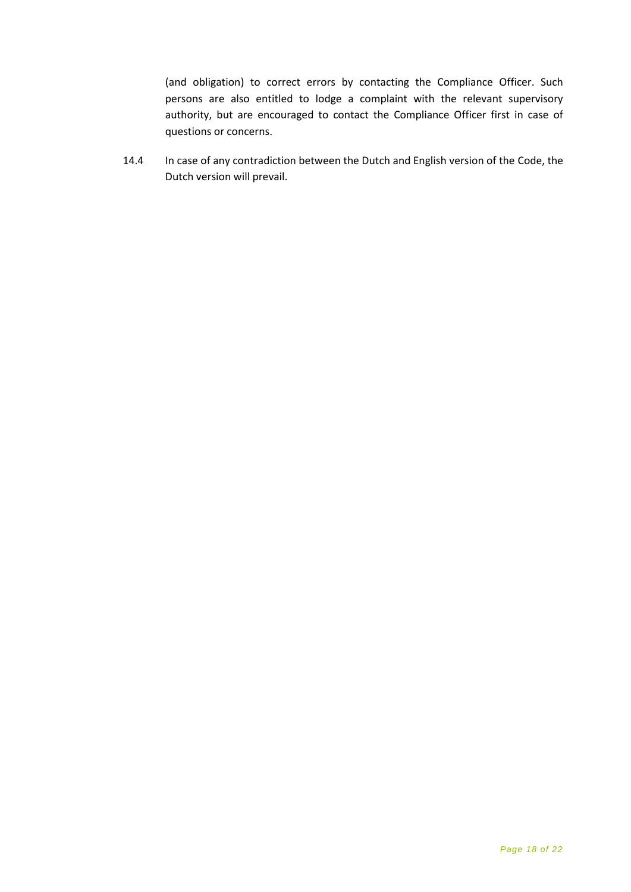(and obligation) to correct errors by contacting the Compliance Officer. Such persons are also entitled to lodge a complaint with the relevant supervisory authority, but are encouraged to contact the Compliance Officer first in case of questions or concerns.

14.4 In case of any contradiction between the Dutch and English version of the Code, the Dutch version will prevail.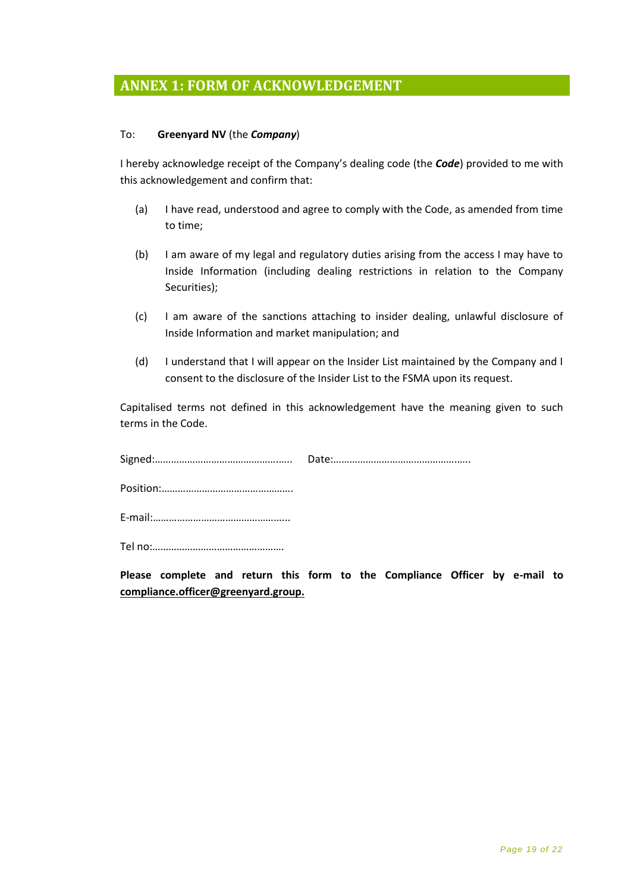# <span id="page-18-0"></span>**ANNEX 1: FORM OF ACKNOWLEDGEMENT**

#### To: **Greenyard NV** (the *Company*)

I hereby acknowledge receipt of the Company's dealing code (the *Code*) provided to me with this acknowledgement and confirm that:

- (a) I have read, understood and agree to comply with the Code, as amended from time to time;
- (b) I am aware of my legal and regulatory duties arising from the access I may have to Inside Information (including dealing restrictions in relation to the Company Securities);
- (c) I am aware of the sanctions attaching to insider dealing, unlawful disclosure of Inside Information and market manipulation; and
- (d) I understand that I will appear on the Insider List maintained by the Company and I consent to the disclosure of the Insider List to the FSMA upon its request.

Capitalised terms not defined in this acknowledgement have the meaning given to such terms in the Code.

**Please complete and return this form to the Compliance Officer by e-mail to compliance.officer@greenyard.group.**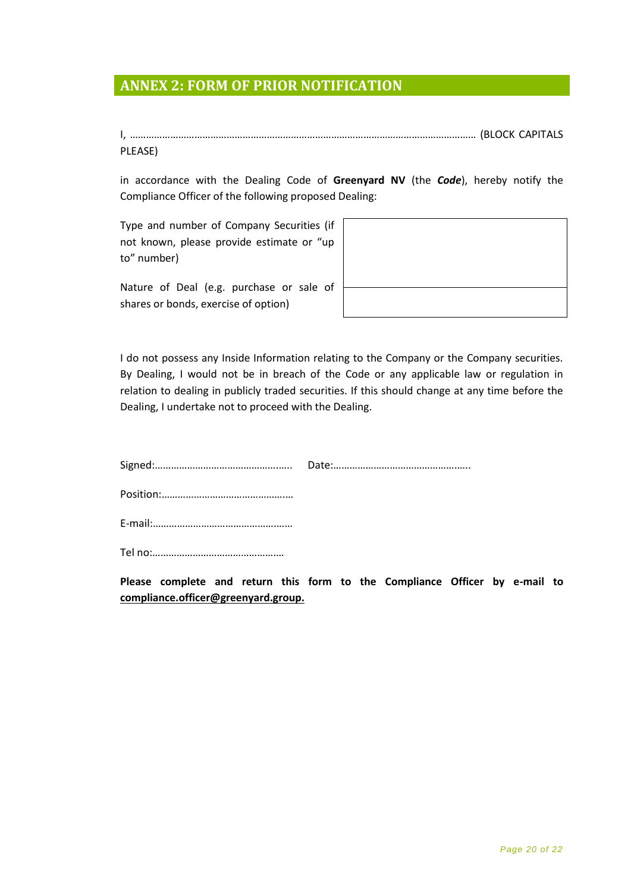# <span id="page-19-0"></span>**ANNEX 2: FORM OF PRIOR NOTIFICATION**

I, ………………………………………………………………………………………………………………… (BLOCK CAPITALS PLEASE)

in accordance with the Dealing Code of **Greenyard NV** (the *Code*), hereby notify the Compliance Officer of the following proposed Dealing:

Type and number of Company Securities (if not known, please provide estimate or "up to" number)

Nature of Deal (e.g. purchase or sale of shares or bonds, exercise of option)

I do not possess any Inside Information relating to the Company or the Company securities. By Dealing, I would not be in breach of the Code or any applicable law or regulation in relation to dealing in publicly traded securities. If this should change at any time before the Dealing, I undertake not to proceed with the Dealing.

**Please complete and return this form to the Compliance Officer by e-mail to compliance.officer@greenyard.group.**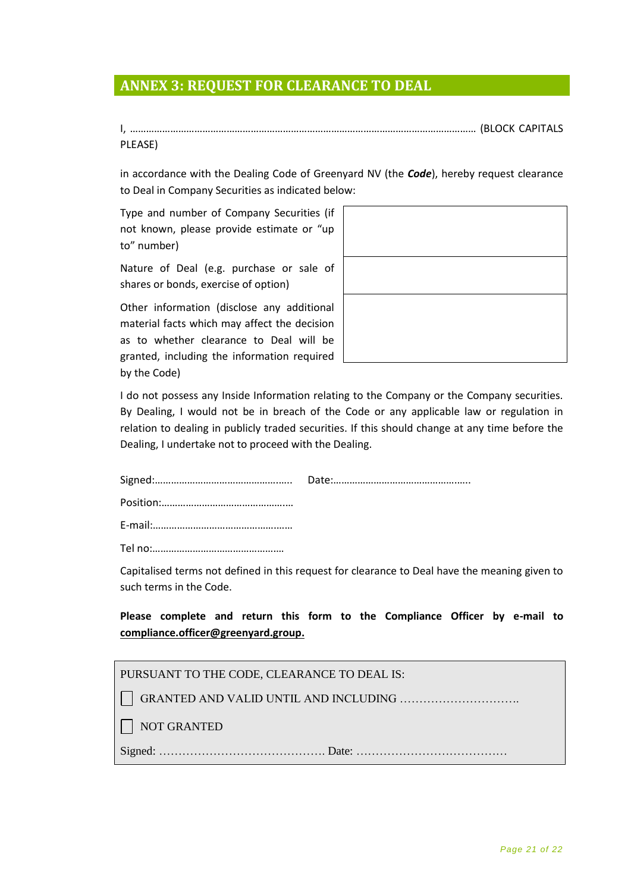# <span id="page-20-0"></span>**ANNEX 3: REQUEST FOR CLEARANCE TO DEAL**

I, ………………………………………………………………………………………………………………… (BLOCK CAPITALS PLEASE)

in accordance with the Dealing Code of Greenyard NV (the *Code*), hereby request clearance to Deal in Company Securities as indicated below:

Type and number of Company Securities (if not known, please provide estimate or "up to" number)

Nature of Deal (e.g. purchase or sale of shares or bonds, exercise of option)

Other information (disclose any additional material facts which may affect the decision as to whether clearance to Deal will be granted, including the information required by the Code)



I do not possess any Inside Information relating to the Company or the Company securities. By Dealing, I would not be in breach of the Code or any applicable law or regulation in relation to dealing in publicly traded securities. If this should change at any time before the Dealing, I undertake not to proceed with the Dealing.

Capitalised terms not defined in this request for clearance to Deal have the meaning given to such terms in the Code.

**Please complete and return this form to the Compliance Officer by e-mail to [compliance.officer@greenyard.group.](mailto:compliance.officer@greenyard.group)**

| PURSUANT TO THE CODE, CLEARANCE TO DEAL IS: |
|---------------------------------------------|
|---------------------------------------------|

GRANTED AND VALID UNTIL AND INCLUDING ………………………….

NOT GRANTED

Signed: ……………………………………. Date: …………………………………